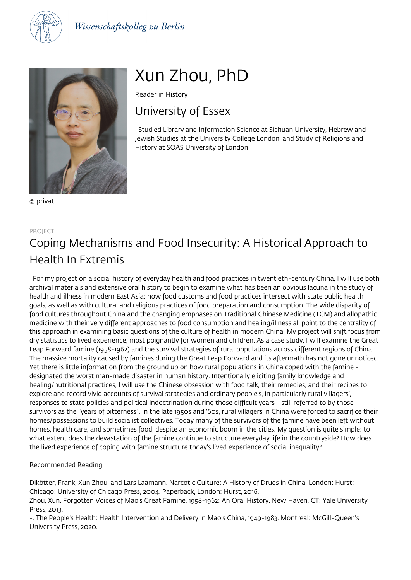



© privat

# Xun Zhou, PhD

Reader in History

### University of Essex

 Studied Library and Information Science at Sichuan University, Hebrew and Jewish Studies at the University College London, and Study of Religions and History at SOAS University of London

### PROJECT Coping Mechanisms and Food Insecurity: A Historical Approach to Health In Extremis

 For my project on a social history of everyday health and food practices in twentieth-century China, I will use both archival materials and extensive oral history to begin to examine what has been an obvious lacuna in the study of health and illness in modern East Asia: how food customs and food practices intersect with state public health goals, as well as with cultural and religious practices of food preparation and consumption. The wide disparity of food cultures throughout China and the changing emphases on Traditional Chinese Medicine (TCM) and allopathic medicine with their very different approaches to food consumption and healing/illness all point to the centrality of this approach in examining basic questions of the culture of health in modern China. My project will shift focus from dry statistics to lived experience, most poignantly for women and children. As a case study, I will examine the Great Leap Forward famine (1958-1962) and the survival strategies of rural populations across different regions of China. The massive mortality caused by famines during the Great Leap Forward and its aftermath has not gone unnoticed. Yet there is little information from the ground up on how rural populations in China coped with the famine designated the worst man-made disaster in human history. Intentionally eliciting family knowledge and healing/nutritional practices, I will use the Chinese obsession with food talk, their remedies, and their recipes to explore and record vivid accounts of survival strategies and ordinary people's, in particularly rural villagers', responses to state policies and political indoctrination during those difficult years - still referred to by those survivors as the "years of bitterness". In the late 1950s and '60s, rural villagers in China were forced to sacrifice their homes/possessions to build socialist collectives. Today many of the survivors of the famine have been left without homes, health care, and sometimes food, despite an economic boom in the cities. My question is quite simple: to what extent does the devastation of the famine continue to structure everyday life in the countryside? How does the lived experience of coping with famine structure today's lived experience of social inequality?

### Recommended Reading

Dikötter, Frank, Xun Zhou, and Lars Laamann. Narcotic Culture: A History of Drugs in China. London: Hurst; Chicago: University of Chicago Press, 2004. Paperback, London: Hurst, 2016.

Zhou, Xun. Forgotten Voices of Mao's Great Famine, 1958-1962: An Oral History. New Haven, CT: Yale University Press, 2013.

-. The People's Health: Health Intervention and Delivery in Mao's China, 1949-1983. Montreal: McGill-Queen's University Press, 2020.